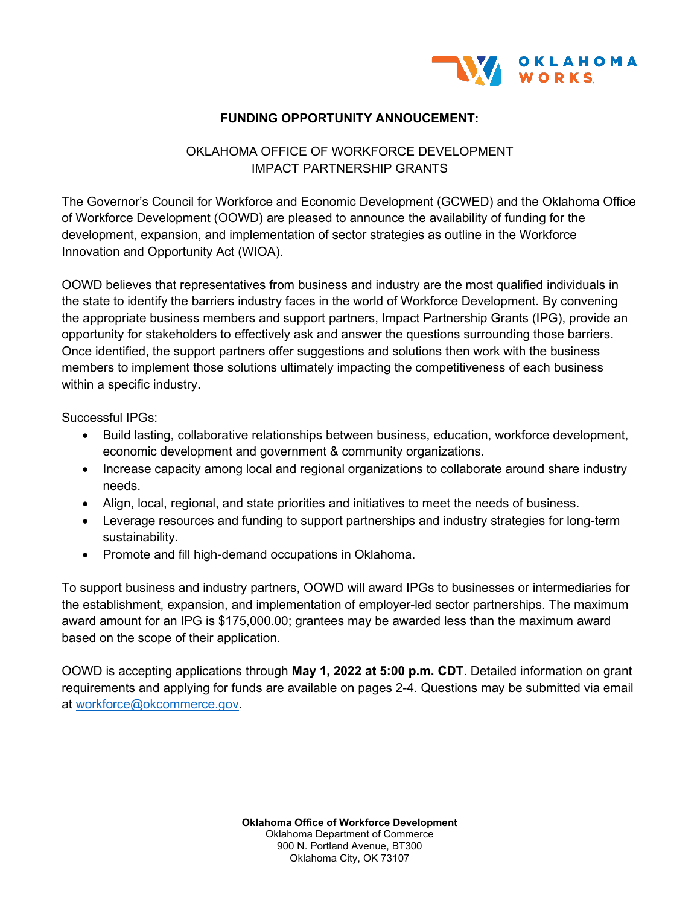

## **FUNDING OPPORTUNITY ANNOUCEMENT:**

## OKLAHOMA OFFICE OF WORKFORCE DEVELOPMENT IMPACT PARTNERSHIP GRANTS

The Governor's Council for Workforce and Economic Development (GCWED) and the Oklahoma Office of Workforce Development (OOWD) are pleased to announce the availability of funding for the development, expansion, and implementation of sector strategies as outline in the Workforce Innovation and Opportunity Act (WIOA).

OOWD believes that representatives from business and industry are the most qualified individuals in the state to identify the barriers industry faces in the world of Workforce Development. By convening the appropriate business members and support partners, Impact Partnership Grants (IPG), provide an opportunity for stakeholders to effectively ask and answer the questions surrounding those barriers. Once identified, the support partners offer suggestions and solutions then work with the business members to implement those solutions ultimately impacting the competitiveness of each business within a specific industry.

Successful IPGs:

- Build lasting, collaborative relationships between business, education, workforce development, economic development and government & community organizations.
- Increase capacity among local and regional organizations to collaborate around share industry needs.
- Align, local, regional, and state priorities and initiatives to meet the needs of business.
- Leverage resources and funding to support partnerships and industry strategies for long-term sustainability.
- Promote and fill high-demand occupations in Oklahoma.

To support business and industry partners, OOWD will award IPGs to businesses or intermediaries for the establishment, expansion, and implementation of employer-led sector partnerships. The maximum award amount for an IPG is \$175,000.00; grantees may be awarded less than the maximum award based on the scope of their application.

OOWD is accepting applications through **May 1, 2022 at 5:00 p.m. CDT**. Detailed information on grant requirements and applying for funds are available on pages 2-4. Questions may be submitted via email at [workforce@okcommerce.gov.](mailto:workforce@okcommerce.gov)

> **Oklahoma Office of Workforce Development** Oklahoma Department of Commerce 900 N. Portland Avenue, BT300 Oklahoma City, OK 73107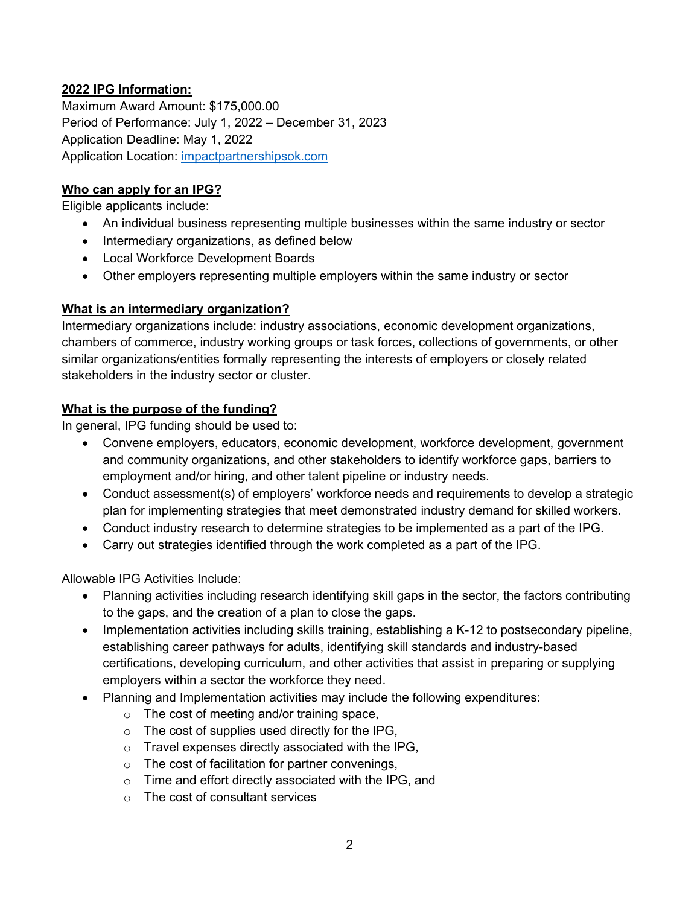## **2022 IPG Information:**

Maximum Award Amount: \$175,000.00 Period of Performance: July 1, 2022 – December 31, 2023 Application Deadline: May 1, 2022 Application Location: [impactpartnershipsok.com](http://www.impactpartnershipsok.com/) 

#### **Who can apply for an IPG?**

Eligible applicants include:

- An individual business representing multiple businesses within the same industry or sector
- Intermediary organizations, as defined below
- Local Workforce Development Boards
- Other employers representing multiple employers within the same industry or sector

## **What is an intermediary organization?**

Intermediary organizations include: industry associations, economic development organizations, chambers of commerce, industry working groups or task forces, collections of governments, or other similar organizations/entities formally representing the interests of employers or closely related stakeholders in the industry sector or cluster.

## **What is the purpose of the funding?**

In general, IPG funding should be used to:

- Convene employers, educators, economic development, workforce development, government and community organizations, and other stakeholders to identify workforce gaps, barriers to employment and/or hiring, and other talent pipeline or industry needs.
- Conduct assessment(s) of employers' workforce needs and requirements to develop a strategic plan for implementing strategies that meet demonstrated industry demand for skilled workers.
- Conduct industry research to determine strategies to be implemented as a part of the IPG.
- Carry out strategies identified through the work completed as a part of the IPG.

Allowable IPG Activities Include:

- Planning activities including research identifying skill gaps in the sector, the factors contributing to the gaps, and the creation of a plan to close the gaps.
- Implementation activities including skills training, establishing a K-12 to postsecondary pipeline, establishing career pathways for adults, identifying skill standards and industry-based certifications, developing curriculum, and other activities that assist in preparing or supplying employers within a sector the workforce they need.
- Planning and Implementation activities may include the following expenditures:
	- o The cost of meeting and/or training space,
	- $\circ$  The cost of supplies used directly for the IPG,
	- $\circ$  Travel expenses directly associated with the IPG,
	- o The cost of facilitation for partner convenings,
	- o Time and effort directly associated with the IPG, and
	- o The cost of consultant services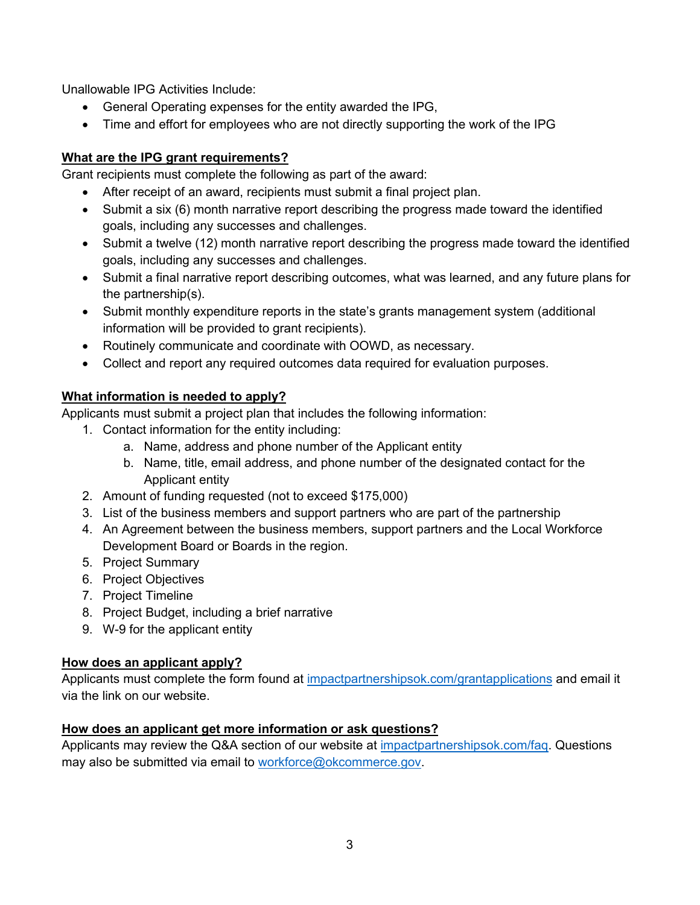Unallowable IPG Activities Include:

- General Operating expenses for the entity awarded the IPG,
- Time and effort for employees who are not directly supporting the work of the IPG

## **What are the IPG grant requirements?**

Grant recipients must complete the following as part of the award:

- After receipt of an award, recipients must submit a final project plan.
- Submit a six (6) month narrative report describing the progress made toward the identified goals, including any successes and challenges.
- Submit a twelve (12) month narrative report describing the progress made toward the identified goals, including any successes and challenges.
- Submit a final narrative report describing outcomes, what was learned, and any future plans for the partnership(s).
- Submit monthly expenditure reports in the state's grants management system (additional information will be provided to grant recipients).
- Routinely communicate and coordinate with OOWD, as necessary.
- Collect and report any required outcomes data required for evaluation purposes.

## **What information is needed to apply?**

Applicants must submit a project plan that includes the following information:

- 1. Contact information for the entity including:
	- a. Name, address and phone number of the Applicant entity
	- b. Name, title, email address, and phone number of the designated contact for the Applicant entity
- 2. Amount of funding requested (not to exceed \$175,000)
- 3. List of the business members and support partners who are part of the partnership
- 4. An Agreement between the business members, support partners and the Local Workforce Development Board or Boards in the region.
- 5. Project Summary
- 6. Project Objectives
- 7. Project Timeline
- 8. Project Budget, including a brief narrative
- 9. W-9 for the applicant entity

# **How does an applicant apply?**

Applicants must complete the form found at [impactpartnershipsok.com/grantapplications](http://www.impactpartnershipsok.com/grantapplication) and email it via the link on our website.

# **How does an applicant get more information or ask questions?**

Applicants may review the Q&A section of our website at [impactpartnershipsok.com/faq.](http://www.impactpartnershipsok.com/faq) Questions may also be submitted via email to [workforce@okcommerce.gov.](mailto:workforce@okcommerce.gov)